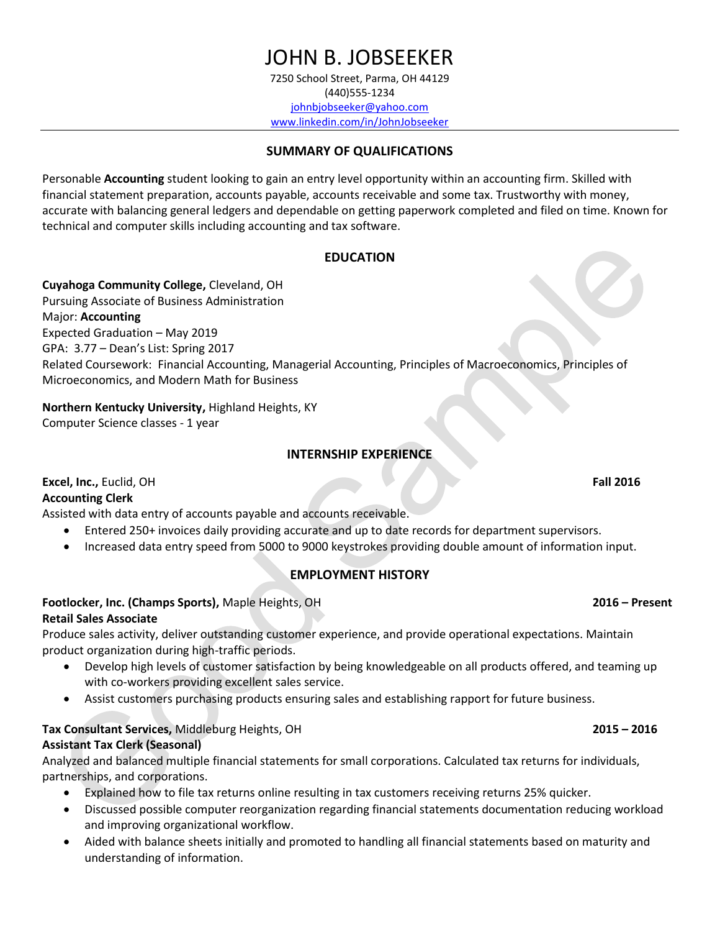# JOHN B. JOBSEEKER

7250 School Street, Parma, OH 44129 (440)555-1234 [johnbjobseeker@yahoo.com](mailto:johnbjobseeker@yahoo.com) www.linkedin.com/in/JohnJobseeker

### **SUMMARY OF QUALIFICATIONS**

Personable **Accounting** student looking to gain an entry level opportunity within an accounting firm. Skilled with financial statement preparation, accounts payable, accounts receivable and some tax. Trustworthy with money, accurate with balancing general ledgers and dependable on getting paperwork completed and filed on time. Known for technical and computer skills including accounting and tax software.

### **EDUCATION**

**Cuyahoga Community College,** Cleveland, OH Pursuing Associate of Business Administration Major: **Accounting** Expected Graduation – May 2019 GPA: 3.77 – Dean's List: Spring 2017 Related Coursework: Financial Accounting, Managerial Accounting, Principles of Macroeconomics, Principles of Microeconomics, and Modern Math for Business

**Northern Kentucky University,** Highland Heights, KY Computer Science classes - 1 year

# **INTERNSHIP EXPERIENCE**

**Excel, Inc.,** Euclid, OH **Fall 2016** 

### **Accounting Clerk**

Assisted with data entry of accounts payable and accounts receivable.

- Entered 250+ invoices daily providing accurate and up to date records for department supervisors.
- Increased data entry speed from 5000 to 9000 keystrokes providing double amount of information input.

# **EMPLOYMENT HISTORY**

# **Footlocker, Inc. (Champs Sports),** Maple Heights, OH **2016 – Present**

### **Retail Sales Associate**

Produce sales activity, deliver outstanding customer experience, and provide operational expectations. Maintain product organization during high-traffic periods.

- Develop high levels of customer satisfaction by being knowledgeable on all products offered, and teaming up with co-workers providing excellent sales service.
- Assist customers purchasing products ensuring sales and establishing rapport for future business.

# **Tax Consultant Services,** Middleburg Heights, OH **2015 – 2016**

# **Assistant Tax Clerk (Seasonal)**

Analyzed and balanced multiple financial statements for small corporations. Calculated tax returns for individuals, partnerships, and corporations.

- Explained how to file tax returns online resulting in tax customers receiving returns 25% quicker.
- Discussed possible computer reorganization regarding financial statements documentation reducing workload and improving organizational workflow.
- Aided with balance sheets initially and promoted to handling all financial statements based on maturity and understanding of information.